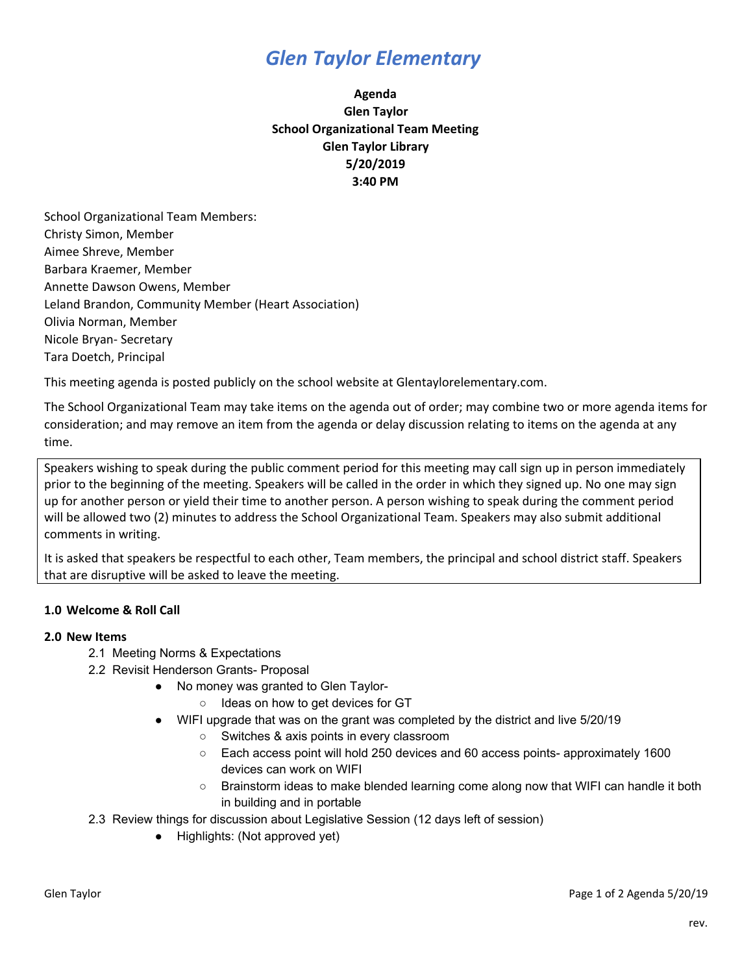# *Glen Taylor Elementary*

## **Agenda Glen Taylor School Organizational Team Meeting Glen Taylor Library 5/20/2019 3:40 PM**

School Organizational Team Members: Christy Simon, Member Aimee Shreve, Member Barbara Kraemer, Member Annette Dawson Owens, Member Leland Brandon, Community Member (Heart Association) Olivia Norman, Member Nicole Bryan- Secretary Tara Doetch, Principal

This meeting agenda is posted publicly on the school website at Glentaylorelementary.com.

The School Organizational Team may take items on the agenda out of order; may combine two or more agenda items for consideration; and may remove an item from the agenda or delay discussion relating to items on the agenda at any time.

Speakers wishing to speak during the public comment period for this meeting may call sign up in person immediately prior to the beginning of the meeting. Speakers will be called in the order in which they signed up. No one may sign up for another person or yield their time to another person. A person wishing to speak during the comment period will be allowed two (2) minutes to address the School Organizational Team. Speakers may also submit additional comments in writing.

It is asked that speakers be respectful to each other, Team members, the principal and school district staff. Speakers that are disruptive will be asked to leave the meeting.

## **1.0 Welcome & Roll Call**

### **2.0 New Items**

- 2.1 Meeting Norms & Expectations
- 2.2 Revisit Henderson Grants- Proposal
	- No money was granted to Glen Taylor-
		- Ideas on how to get devices for GT
		- WIFI upgrade that was on the grant was completed by the district and live 5/20/19
			- Switches & axis points in every classroom
			- Each access point will hold 250 devices and 60 access points- approximately 1600 devices can work on WIFI
			- Brainstorm ideas to make blended learning come along now that WIFI can handle it both in building and in portable
- 2.3 Review things for discussion about Legislative Session (12 days left of session)
	- Highlights: (Not approved yet)